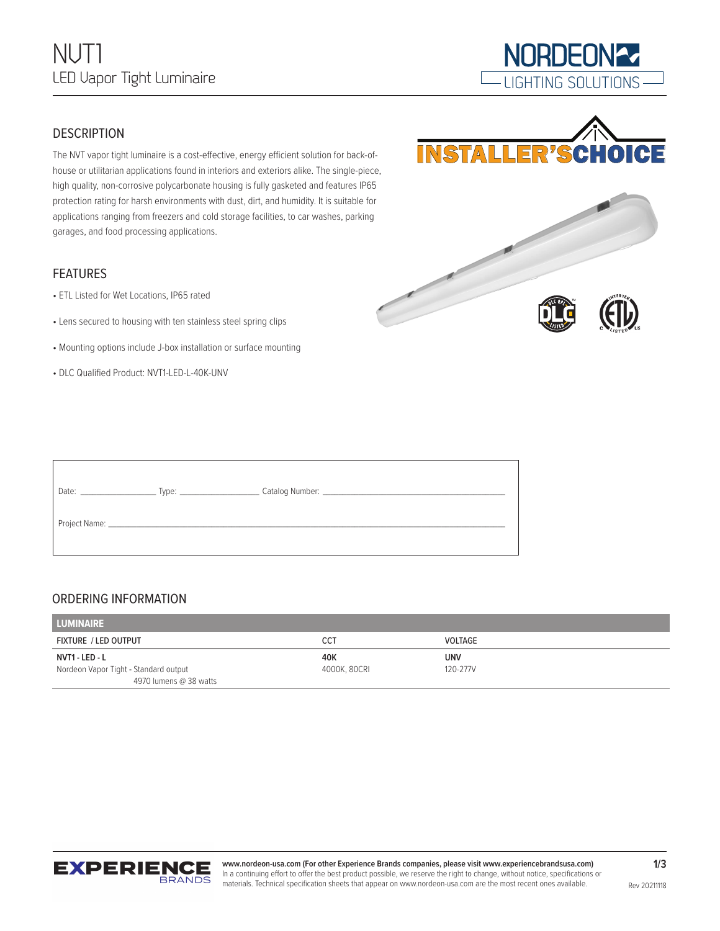

**NORDEON27** 

### **DESCRIPTION**

The NVT vapor tight luminaire is a cost-effective, energy efficient solution for back-ofhouse or utilitarian applications found in interiors and exteriors alike. The single-piece, high quality, non-corrosive polycarbonate housing is fully gasketed and features IP65 protection rating for harsh environments with dust, dirt, and humidity. It is suitable for applications ranging from freezers and cold storage facilities, to car washes, parking garages, and food processing applications.

#### FEATURES

- ETL Listed for Wet Locations, IP65 rated
- Lens secured to housing with ten stainless steel spring clips
- Mounting options include J-box installation or surface mounting
- DLC Qualified Product: NVT1-LED-L-40K-UNV



| Date: Date: |  |
|-------------|--|
|             |  |

### ORDERING INFORMATION

| <b>LUMINAIRE</b>                      |              |                |
|---------------------------------------|--------------|----------------|
| <b>FIXTURE / LED OUTPUT</b>           | CCT          | <b>VOLTAGE</b> |
| NVT1 - LED - L                        | 40K          | <b>UNV</b>     |
| Nordeon Vapor Tight - Standard output | 4000K, 80CRI | 120-277V       |
| 4970 lumens @ 38 watts                |              |                |



**www.nordeon-usa.com (For other Experience Brands companies, please visit www.experiencebrandsusa.com)** In a continuing effort to offer the best product possible, we reserve the right to change, without notice, specifications or materials. Technical specification sheets that appear on www.nordeon-usa.com are the most recent ones available.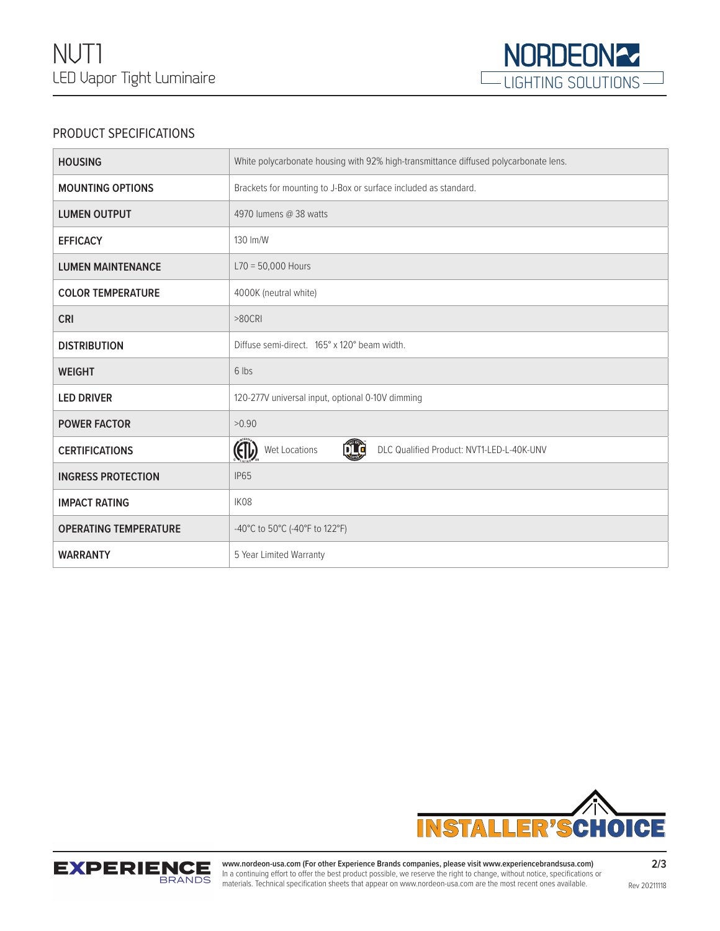

# PRODUCT SPECIFICATIONS

| <b>HOUSING</b>               | White polycarbonate housing with 92% high-transmittance diffused polycarbonate lens. |  |
|------------------------------|--------------------------------------------------------------------------------------|--|
| <b>MOUNTING OPTIONS</b>      | Brackets for mounting to J-Box or surface included as standard.                      |  |
| <b>LUMEN OUTPUT</b>          | 4970 lumens @ 38 watts                                                               |  |
| <b>EFFICACY</b>              | 130 Im/W                                                                             |  |
| <b>LUMEN MAINTENANCE</b>     | $L70 = 50,000$ Hours                                                                 |  |
| <b>COLOR TEMPERATURE</b>     | 4000K (neutral white)                                                                |  |
| <b>CRI</b>                   | $>80$ CRI                                                                            |  |
| <b>DISTRIBUTION</b>          | Diffuse semi-direct. 165° x 120° beam width.                                         |  |
| <b>WEIGHT</b>                | 6 lbs                                                                                |  |
| <b>LED DRIVER</b>            | 120-277V universal input, optional 0-10V dimming                                     |  |
| <b>POWER FACTOR</b>          | >0.90                                                                                |  |
| <b>CERTIFICATIONS</b>        | (II)<br>ŐÏÇ<br>Wet Locations<br>DLC Qualified Product: NVT1-LED-L-40K-UNV            |  |
| <b>INGRESS PROTECTION</b>    | <b>IP65</b>                                                                          |  |
| <b>IMPACT RATING</b>         | IK08                                                                                 |  |
| <b>OPERATING TEMPERATURE</b> | -40°C to 50°C (-40°F to 122°F)                                                       |  |
| <b>WARRANTY</b>              | 5 Year Limited Warranty                                                              |  |





**www.nordeon-usa.com (For other Experience Brands companies, please visit www.experiencebrandsusa.com)** In a continuing effort to offer the best product possible, we reserve the right to change, without notice, specifications or materials. Technical specification sheets that appear on www.nordeon-usa.com are the most recent ones available.